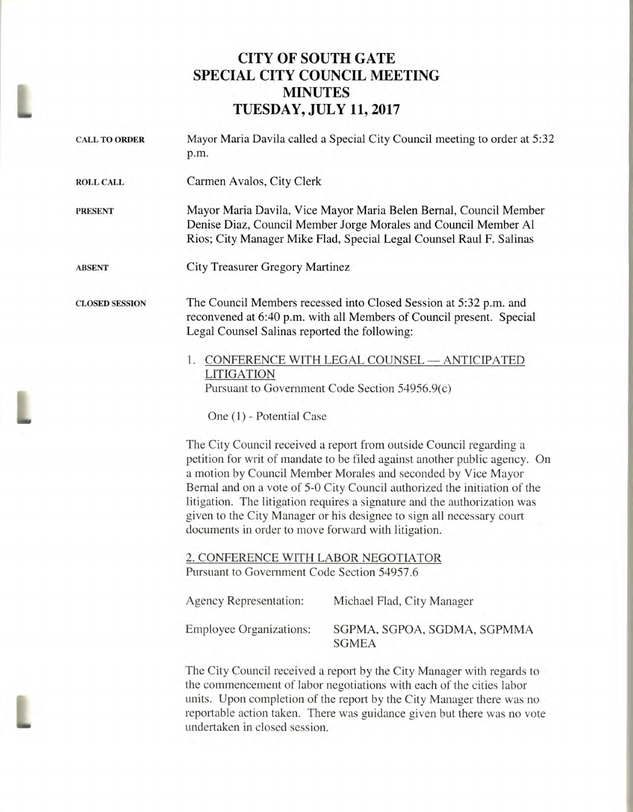## **CITY OF SOUTH GATE SPECIAL CITY COUNCIL MEETING MINUTES AMP TUESDAY, JULY 11, 2017**

| <b>CALL TO ORDER</b>  | Mayor Maria Davila called a Special City Council meeting to order at 5:32<br>p.m.                                                                                                                                                                                                                                                                                                                                                                                                                            |                                                   |
|-----------------------|--------------------------------------------------------------------------------------------------------------------------------------------------------------------------------------------------------------------------------------------------------------------------------------------------------------------------------------------------------------------------------------------------------------------------------------------------------------------------------------------------------------|---------------------------------------------------|
| <b>ROLL CALL</b>      | Carmen Avalos, City Clerk                                                                                                                                                                                                                                                                                                                                                                                                                                                                                    |                                                   |
| <b>PRESENT</b>        | Mayor Maria Davila, Vice Mayor Maria Belen Bernal, Council Member<br>Denise Diaz, Council Member Jorge Morales and Council Member Al<br>Rios; City Manager Mike Flad, Special Legal Counsel Raul F. Salinas                                                                                                                                                                                                                                                                                                  |                                                   |
| <b>ABSENT</b>         | <b>City Treasurer Gregory Martinez</b>                                                                                                                                                                                                                                                                                                                                                                                                                                                                       |                                                   |
| <b>CLOSED SESSION</b> | The Council Members recessed into Closed Session at 5:32 p.m. and<br>reconvened at 6:40 p.m. with all Members of Council present. Special<br>Legal Counsel Salinas reported the following:                                                                                                                                                                                                                                                                                                                   |                                                   |
|                       | 1. CONFERENCE WITH LEGAL COUNSEL - ANTICIPATED<br><b>LITIGATION</b><br>Pursuant to Government Code Section 54956.9(c)                                                                                                                                                                                                                                                                                                                                                                                        |                                                   |
|                       | One (1) - Potential Case                                                                                                                                                                                                                                                                                                                                                                                                                                                                                     |                                                   |
|                       | The City Council received a report from outside Council regarding a<br>petition for writ of mandate to be filed against another public agency. On<br>a motion by Council Member Morales and seconded by Vice Mayor<br>Bernal and on a vote of 5-0 City Council authorized the initiation of the<br>litigation. The litigation requires a signature and the authorization was<br>given to the City Manager or his designee to sign all necessary court<br>documents in order to move forward with litigation. |                                                   |
|                       | 2. CONFERENCE WITH LABOR NEGOTIATOR<br>Pursuant to Government Code Section 54957.6                                                                                                                                                                                                                                                                                                                                                                                                                           |                                                   |
|                       |                                                                                                                                                                                                                                                                                                                                                                                                                                                                                                              | Agency Representation: Michael Flad, City Manager |
|                       | <b>Employee Organizations:</b>                                                                                                                                                                                                                                                                                                                                                                                                                                                                               | SGPMA, SGPOA, SGDMA, SGPMMA<br><b>SGMEA</b>       |
|                       | The City Council received a report by the City Manager with regards to<br>the commencement of labor negotiations with each of the cities labor<br>units. Upon completion of the report by the City Manager there was no<br>reportable action taken. There was guidance given but there was no vote<br>undertaken in closed session.                                                                                                                                                                          |                                                   |
|                       |                                                                                                                                                                                                                                                                                                                                                                                                                                                                                                              |                                                   |